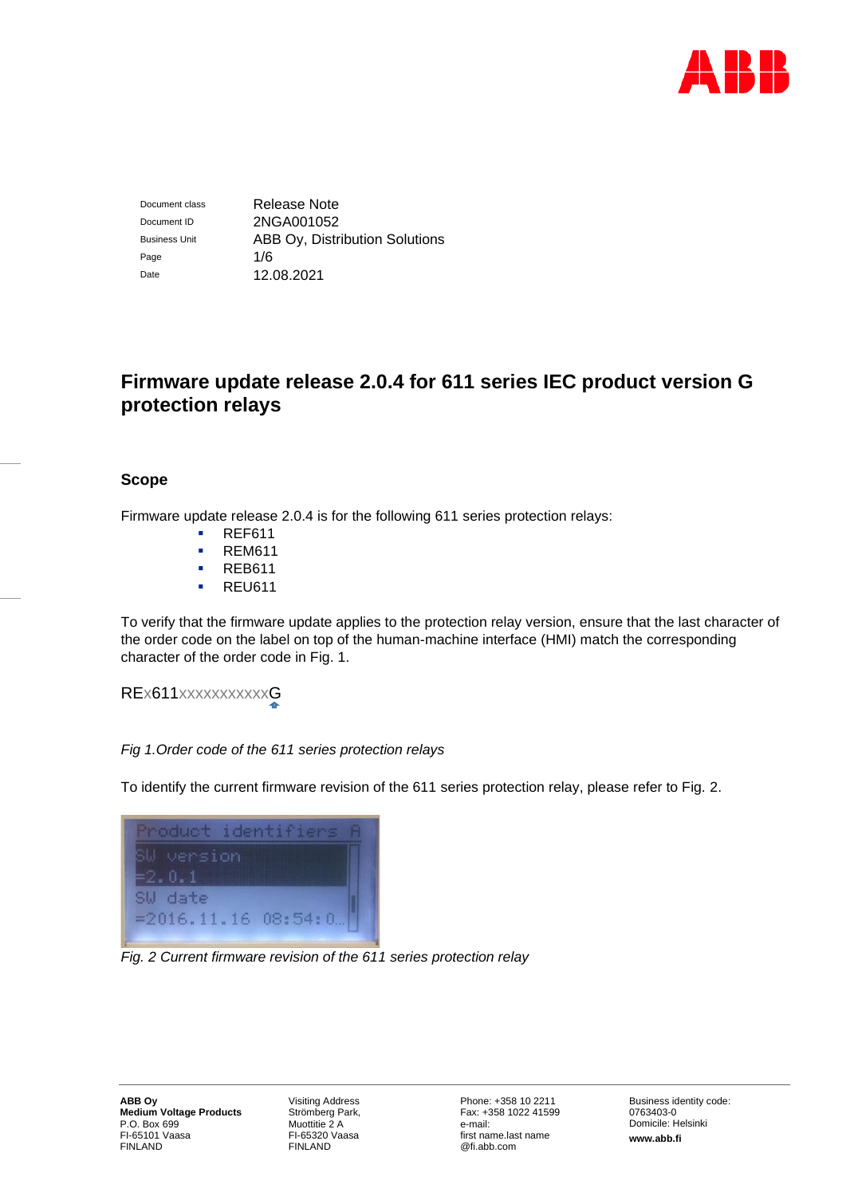

Document class Release Note Document ID 2NGA001052 Business Unit **ABB Oy, Distribution Solutions** Page 1/6 Date 12.08.2021

# **Firmware update release 2.0.4 for 611 series IEC product version G protection relays**

# **Scope**

Firmware update release 2.0.4 is for the following 611 series protection relays:

- REF611
- REM611
- REB611
- REU611

To verify that the firmware update applies to the protection relay version, ensure that the last character of the order code on the label on top of the human-machine interface (HMI) match the corresponding character of the order code in Fig. 1.

REx611xxxxxxxxxxxG

# *Fig 1.Order code of the 611 series protection relays*

To identify the current firmware revision of the 611 series protection relay, please refer to Fig. 2.



*Fig. 2 Current firmware revision of the 611 series protection relay*

Visiting Address Strömberg Park, Muottitie 2 A FI-65320 Vaasa FINLAND

Phone: +358 10 2211 Fax: +358 1022 41599 e-mail: first name.last name @fi.abb.com

Business identity code: 0763403-0 Domicile: Helsinki **www.abb.fi**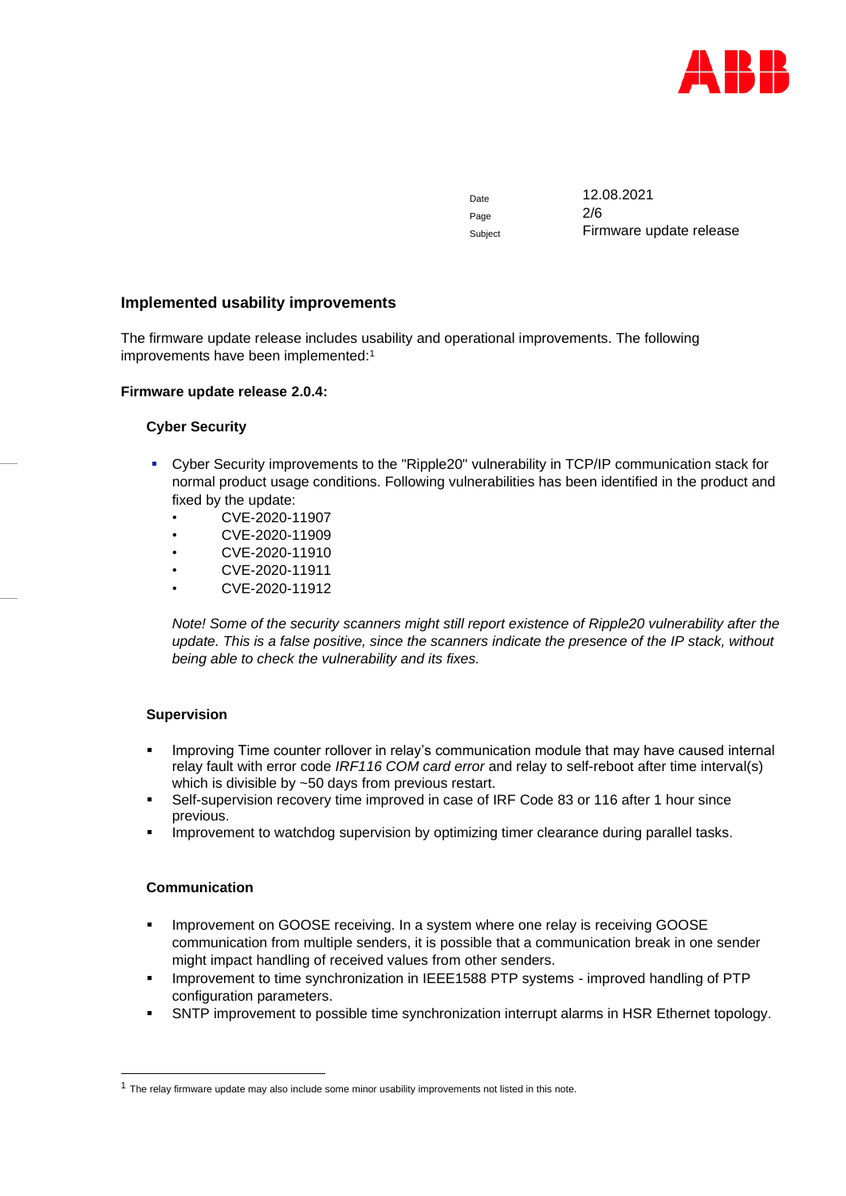

Date 12.08.2021 Page 2/6 Subject Firmware update release

# **Implemented usability improvements**

The firmware update release includes usability and operational improvements. The following improvements have been implemented:<sup>1</sup>

#### **Firmware update release 2.0.4:**

## **Cyber Security**

- Cyber Security improvements to the "Ripple20" vulnerability in TCP/IP communication stack for normal product usage conditions. Following vulnerabilities has been identified in the product and fixed by the update:
	- CVE-2020-11907
	- CVE-2020-11909
	- CVE-2020-11910
	- CVE-2020-11911
	- CVE-2020-11912

*Note! Some of the security scanners might still report existence of Ripple20 vulnerability after the update. This is a false positive, since the scanners indicate the presence of the IP stack, without being able to check the vulnerability and its fixes.*

# **Supervision**

- Improving Time counter rollover in relay's communication module that may have caused internal relay fault with error code *IRF116 COM card error* and relay to self-reboot after time interval(s) which is divisible by ~50 days from previous restart.
- Self-supervision recovery time improved in case of IRF Code 83 or 116 after 1 hour since previous.
- Improvement to watchdog supervision by optimizing timer clearance during parallel tasks.

# **Communication**

- **.** Improvement on GOOSE receiving. In a system where one relay is receiving GOOSE communication from multiple senders, it is possible that a communication break in one sender might impact handling of received values from other senders.
- Improvement to time synchronization in IEEE1588 PTP systems improved handling of PTP configuration parameters.
- SNTP improvement to possible time synchronization interrupt alarms in HSR Ethernet topology.

<sup>&</sup>lt;sup>1</sup> The relay firmware update may also include some minor usability improvements not listed in this note.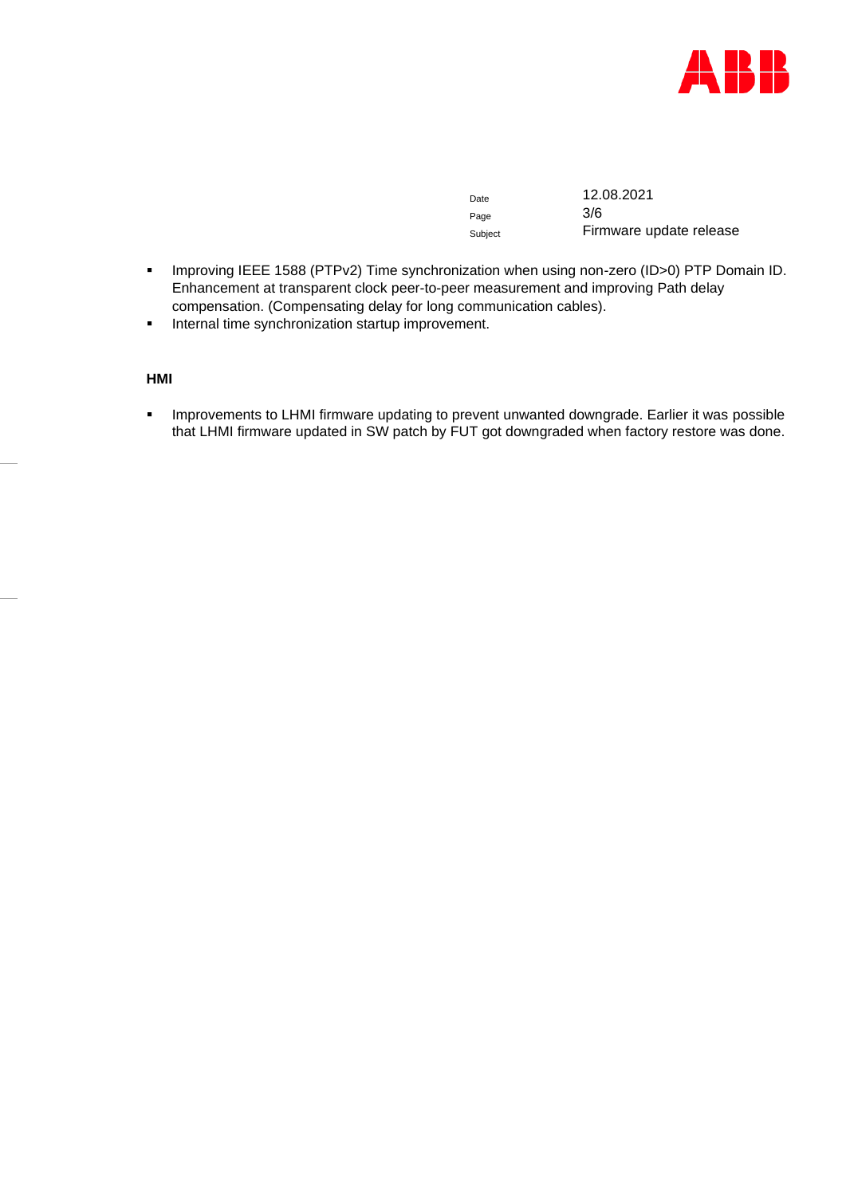

Date 12.08.2021 Subject **Firmware update release** 

■ Improving IEEE 1588 (PTPv2) Time synchronization when using non-zero (ID>0) PTP Domain ID. Enhancement at transparent clock peer-to-peer measurement and improving Path delay compensation. (Compensating delay for long communication cables).

Page

**·** Internal time synchronization startup improvement.

**HMI**

**EXEDENT Improvements to LHMI firmware updating to prevent unwanted downgrade. Earlier it was possible** that LHMI firmware updated in SW patch by FUT got downgraded when factory restore was done.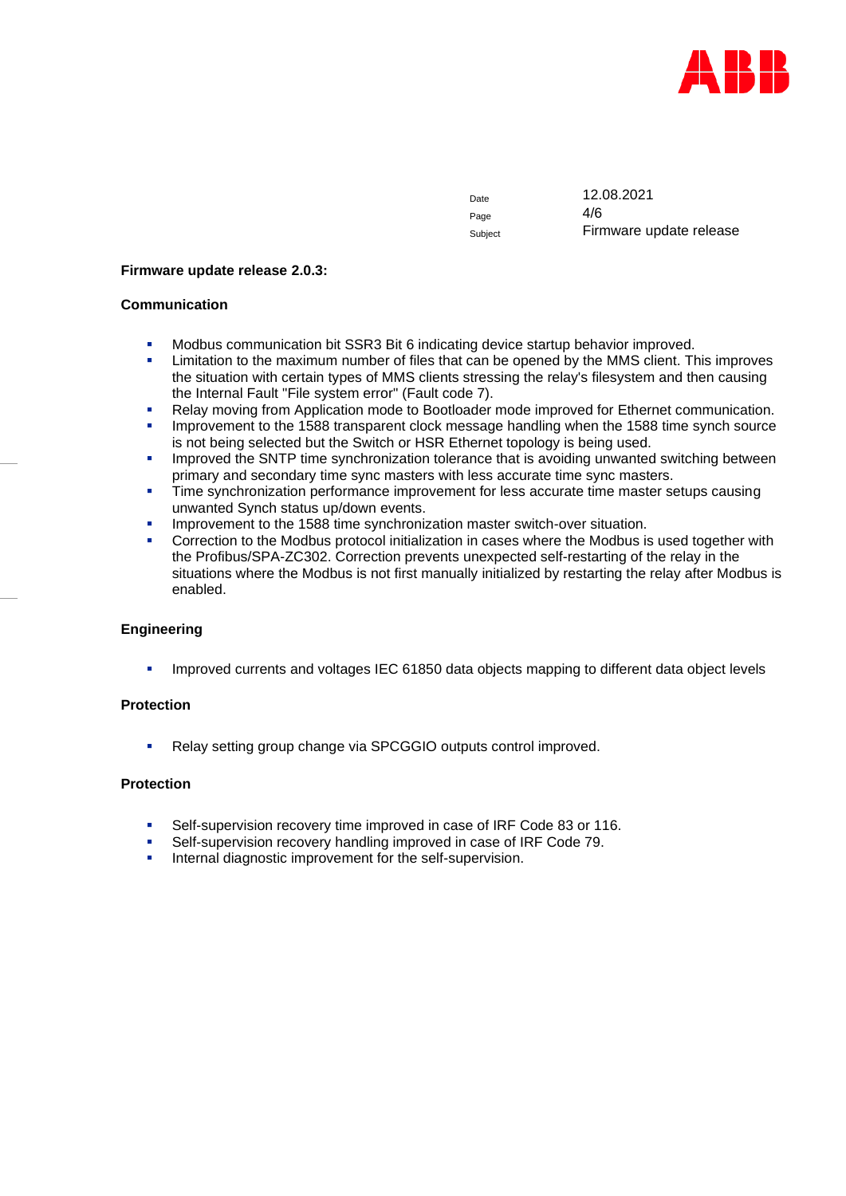

Page  $4/6$ 

Date 12.08.2021 Subject Firmware update release

#### **Firmware update release 2.0.3:**

#### **Communication**

- Modbus communication bit SSR3 Bit 6 indicating device startup behavior improved.
- **EXECT** Limitation to the maximum number of files that can be opened by the MMS client. This improves the situation with certain types of MMS clients stressing the relay's filesystem and then causing the Internal Fault "File system error" (Fault code 7).
- **Relay moving from Application mode to Bootloader mode improved for Ethernet communication.**
- Improvement to the 1588 transparent clock message handling when the 1588 time synch source is not being selected but the Switch or HSR Ethernet topology is being used.
- **•** Improved the SNTP time synchronization tolerance that is avoiding unwanted switching between primary and secondary time sync masters with less accurate time sync masters.
- **Time synchronization performance improvement for less accurate time master setups causing** unwanted Synch status up/down events.
- **■** Improvement to the 1588 time synchronization master switch-over situation.
- **•** Correction to the Modbus protocol initialization in cases where the Modbus is used together with the Profibus/SPA-ZC302. Correction prevents unexpected self-restarting of the relay in the situations where the Modbus is not first manually initialized by restarting the relay after Modbus is enabled.

#### **Engineering**

Improved currents and voltages IEC 61850 data objects mapping to different data object levels

#### **Protection**

■ Relay setting group change via SPCGGIO outputs control improved.

## **Protection**

- Self-supervision recovery time improved in case of IRF Code 83 or 116.
- Self-supervision recovery handling improved in case of IRF Code 79.
- Internal diagnostic improvement for the self-supervision.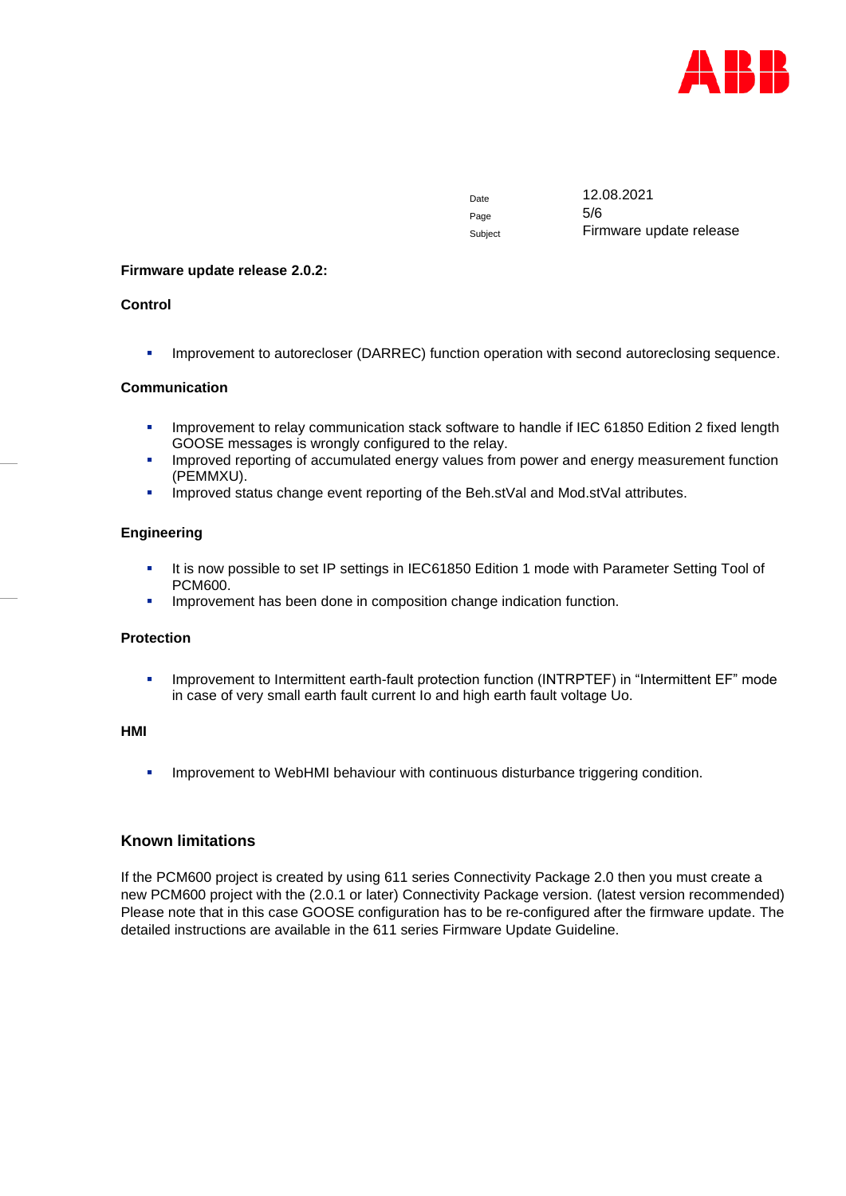

Page 5/6

Date 12.08.2021 Subject Firmware update release

### **Firmware update release 2.0.2:**

## **Control**

**• Improvement to autorecloser (DARREC) function operation with second autoreclosing sequence.** 

## **Communication**

- **·** Improvement to relay communication stack software to handle if IEC 61850 Edition 2 fixed length GOOSE messages is wrongly configured to the relay.
- **Improved reporting of accumulated energy values from power and energy measurement function** (PEMMXU).
- **EXECT** Improved status change event reporting of the Beh.stVal and Mod.stVal attributes.

## **Engineering**

- **.** It is now possible to set IP settings in IEC61850 Edition 1 mode with Parameter Setting Tool of PCM600.
- **EXECT** Improvement has been done in composition change indication function.

#### **Protection**

▪ Improvement to Intermittent earth-fault protection function (INTRPTEF) in "Intermittent EF" mode in case of very small earth fault current Io and high earth fault voltage Uo.

## **HMI**

Improvement to WebHMI behaviour with continuous disturbance triggering condition.

# **Known limitations**

If the PCM600 project is created by using 611 series Connectivity Package 2.0 then you must create a new PCM600 project with the (2.0.1 or later) Connectivity Package version. (latest version recommended) Please note that in this case GOOSE configuration has to be re-configured after the firmware update. The detailed instructions are available in the 611 series Firmware Update Guideline.